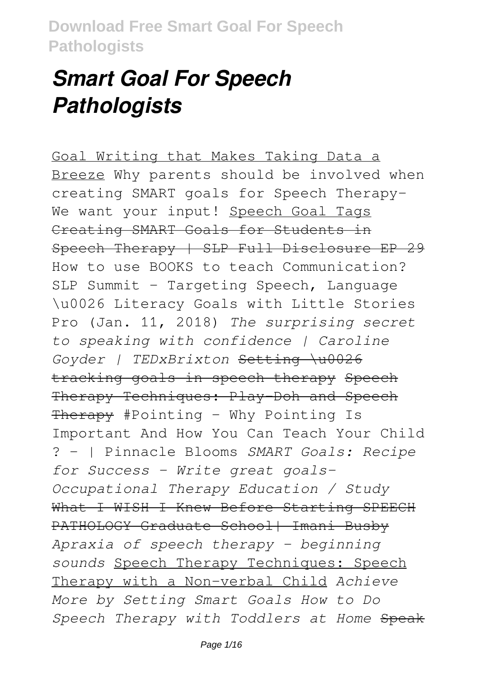# *Smart Goal For Speech Pathologists*

Goal Writing that Makes Taking Data a Breeze Why parents should be involved when creating SMART goals for Speech Therapy-We want your input! Speech Goal Tags Creating SMART Goals for Students in Speech Therapy | SLP Full Disclosure EP 29 How to use BOOKS to teach Communication? SLP Summit - Targeting Speech, Language \u0026 Literacy Goals with Little Stories Pro (Jan. 11, 2018) *The surprising secret to speaking with confidence | Caroline Goyder | TEDxBrixton* Setting \u0026 tracking goals in speech therapy Speech Therapy Techniques: Play-Doh and Speech Therapy #Pointing - Why Pointing Is Important And How You Can Teach Your Child ? - | Pinnacle Blooms *SMART Goals: Recipe for Success - Write great goals-Occupational Therapy Education / Study* What I WISH I Knew Before Starting SPEECH PATHOLOGY Graduate School| Imani Busby *Apraxia of speech therapy - beginning sounds* Speech Therapy Techniques: Speech Therapy with a Non-verbal Child *Achieve More by Setting Smart Goals How to Do Speech Therapy with Toddlers at Home* Speak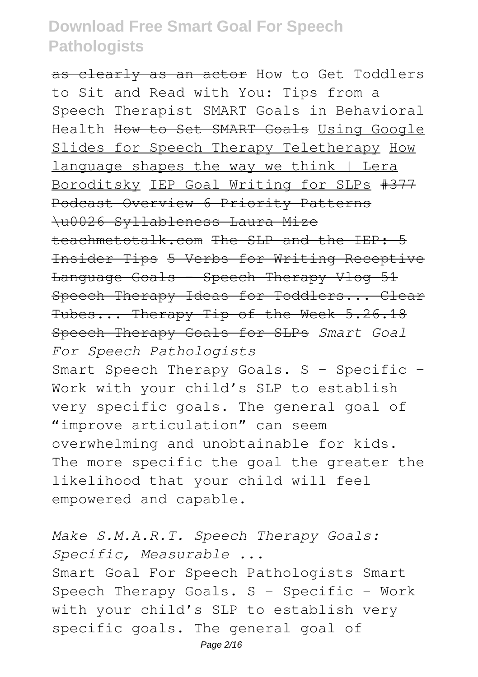as clearly as an actor How to Get Toddlers to Sit and Read with You: Tips from a Speech Therapist SMART Goals in Behavioral Health How to Set SMART Goals Using Google Slides for Speech Therapy Teletherapy How language shapes the way we think | Lera Boroditsky IEP Goal Writing for SLPs #377 Podcast Overview 6 Priority Patterns \u0026 Syllableness Laura Mize teachmetotalk.com The SLP and the IEP: 5 Insider Tips 5 Verbs for Writing Receptive Language Goals - Speech Therapy Vlog 51 Speech Therapy Ideas for Toddlers... Clear Tubes... Therapy Tip of the Week 5.26.18 Speech Therapy Goals for SLPs *Smart Goal For Speech Pathologists* Smart Speech Therapy Goals. S – Specific – Work with your child's SLP to establish very specific goals. The general goal of "improve articulation" can seem overwhelming and unobtainable for kids. The more specific the goal the greater the likelihood that your child will feel empowered and capable.

*Make S.M.A.R.T. Speech Therapy Goals: Specific, Measurable ...* Smart Goal For Speech Pathologists Smart Speech Therapy Goals. S – Specific – Work with your child's SLP to establish very specific goals. The general goal of Page 2/16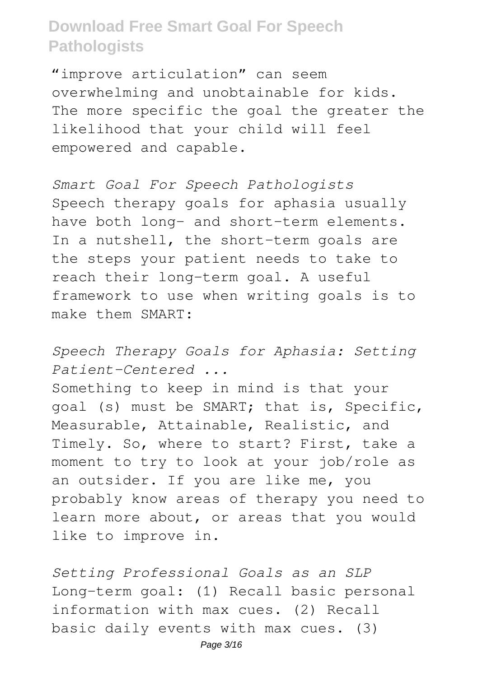"improve articulation" can seem overwhelming and unobtainable for kids. The more specific the goal the greater the likelihood that your child will feel empowered and capable.

*Smart Goal For Speech Pathologists* Speech therapy goals for aphasia usually have both long- and short-term elements. In a nutshell, the short-term goals are the steps your patient needs to take to reach their long-term goal. A useful framework to use when writing goals is to make them SMART:

*Speech Therapy Goals for Aphasia: Setting Patient-Centered ...*

Something to keep in mind is that your goal (s) must be SMART; that is, Specific, Measurable, Attainable, Realistic, and Timely. So, where to start? First, take a moment to try to look at your job/role as an outsider. If you are like me, you probably know areas of therapy you need to learn more about, or areas that you would like to improve in.

*Setting Professional Goals as an SLP* Long-term goal: (1) Recall basic personal information with max cues. (2) Recall basic daily events with max cues. (3)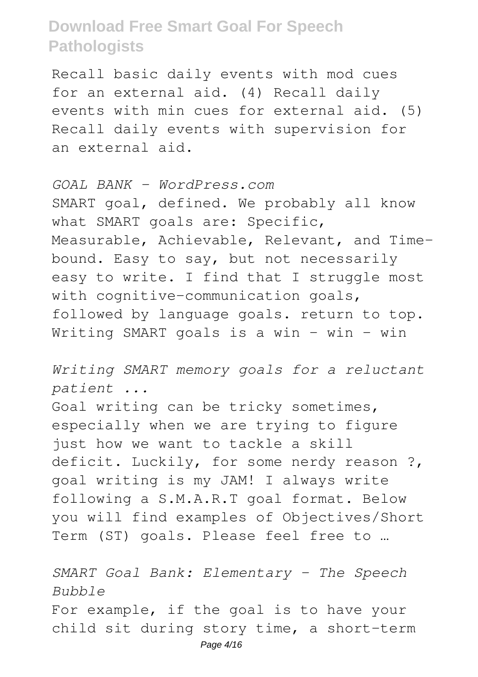Recall basic daily events with mod cues for an external aid. (4) Recall daily events with min cues for external aid. (5) Recall daily events with supervision for an external aid.

*GOAL BANK - WordPress.com* SMART goal, defined. We probably all know what SMART goals are: Specific, Measurable, Achievable, Relevant, and Timebound. Easy to say, but not necessarily easy to write. I find that I struggle most with cognitive-communication goals, followed by language goals. return to top. Writing SMART goals is a win – win – win

*Writing SMART memory goals for a reluctant patient ...*

Goal writing can be tricky sometimes, especially when we are trying to figure just how we want to tackle a skill deficit. Luckily, for some nerdy reason ?, goal writing is my JAM! I always write following a S.M.A.R.T goal format. Below you will find examples of Objectives/Short Term (ST) goals. Please feel free to …

*SMART Goal Bank: Elementary - The Speech Bubble* For example, if the goal is to have your child sit during story time, a short-term Page 4/16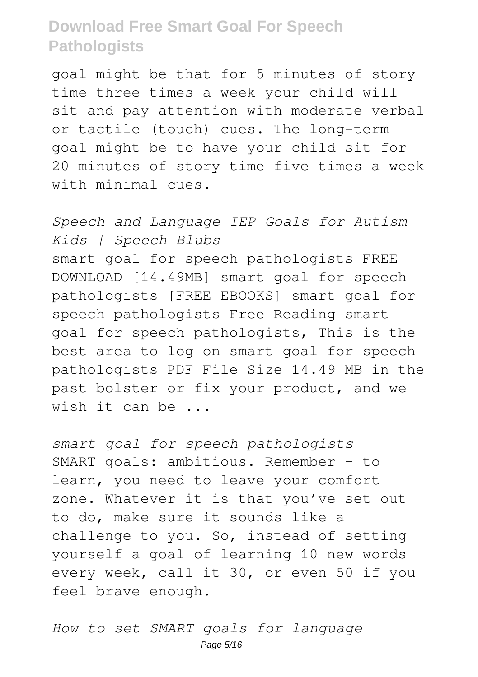goal might be that for 5 minutes of story time three times a week your child will sit and pay attention with moderate verbal or tactile (touch) cues. The long-term goal might be to have your child sit for 20 minutes of story time five times a week with minimal cues.

*Speech and Language IEP Goals for Autism Kids | Speech Blubs* smart goal for speech pathologists FREE DOWNLOAD [14.49MB] smart goal for speech pathologists [FREE EBOOKS] smart goal for speech pathologists Free Reading smart goal for speech pathologists, This is the best area to log on smart goal for speech pathologists PDF File Size 14.49 MB in the past bolster or fix your product, and we wish it can be ...

*smart goal for speech pathologists* SMART goals: ambitious. Remember – to learn, you need to leave your comfort zone. Whatever it is that you've set out to do, make sure it sounds like a challenge to you. So, instead of setting yourself a goal of learning 10 new words every week, call it 30, or even 50 if you feel brave enough.

*How to set SMART goals for language* Page 5/16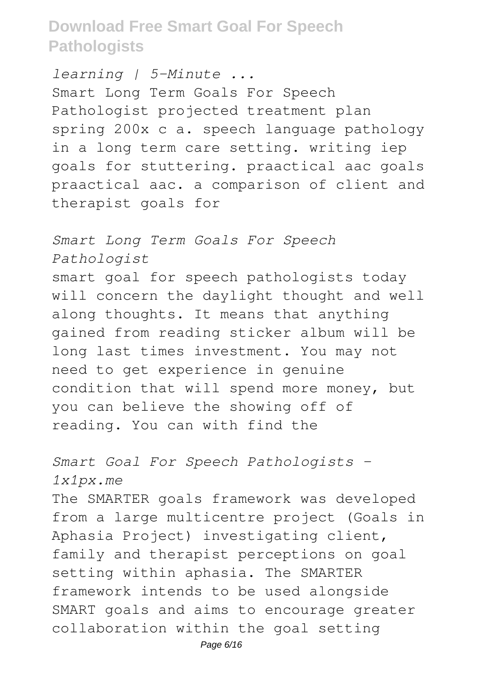*learning | 5-Minute ...* Smart Long Term Goals For Speech Pathologist projected treatment plan spring 200x c a. speech language pathology in a long term care setting. writing iep goals for stuttering. praactical aac goals praactical aac. a comparison of client and therapist goals for

#### *Smart Long Term Goals For Speech Pathologist*

smart goal for speech pathologists today will concern the daylight thought and well along thoughts. It means that anything gained from reading sticker album will be long last times investment. You may not need to get experience in genuine condition that will spend more money, but you can believe the showing off of reading. You can with find the

*Smart Goal For Speech Pathologists - 1x1px.me*

The SMARTER goals framework was developed from a large multicentre project (Goals in Aphasia Project) investigating client, family and therapist perceptions on goal setting within aphasia. The SMARTER framework intends to be used alongside SMART goals and aims to encourage greater collaboration within the goal setting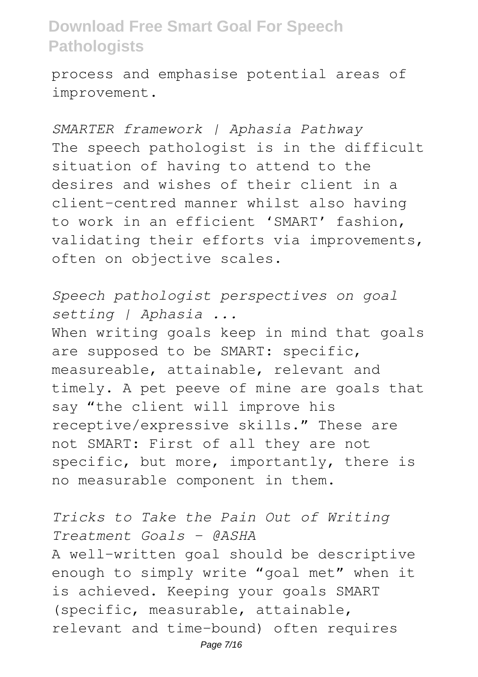process and emphasise potential areas of improvement.

*SMARTER framework | Aphasia Pathway* The speech pathologist is in the difficult situation of having to attend to the desires and wishes of their client in a client-centred manner whilst also having to work in an efficient 'SMART' fashion, validating their efforts via improvements, often on objective scales.

*Speech pathologist perspectives on goal setting | Aphasia ...* When writing goals keep in mind that goals are supposed to be SMART: specific, measureable, attainable, relevant and timely. A pet peeve of mine are goals that say "the client will improve his receptive/expressive skills." These are not SMART: First of all they are not specific, but more, importantly, there is no measurable component in them.

*Tricks to Take the Pain Out of Writing Treatment Goals - @ASHA* A well-written goal should be descriptive enough to simply write "goal met" when it is achieved. Keeping your goals SMART (specific, measurable, attainable, relevant and time-bound) often requires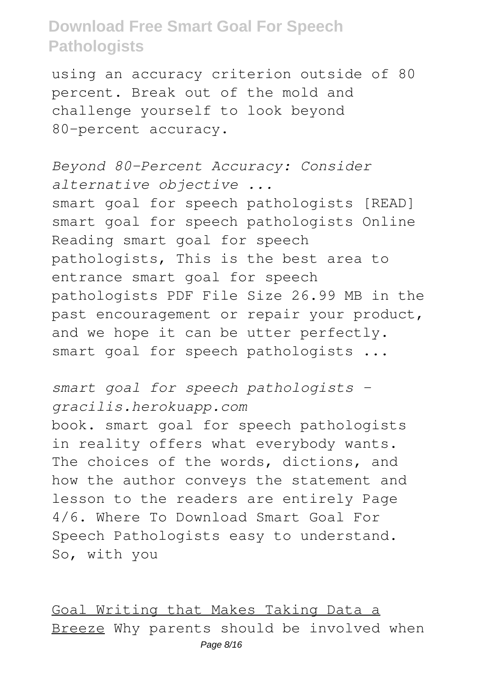using an accuracy criterion outside of 80 percent. Break out of the mold and challenge yourself to look beyond 80-percent accuracy.

*Beyond 80-Percent Accuracy: Consider alternative objective ...* smart goal for speech pathologists [READ] smart goal for speech pathologists Online Reading smart goal for speech pathologists, This is the best area to entrance smart goal for speech pathologists PDF File Size 26.99 MB in the past encouragement or repair your product, and we hope it can be utter perfectly. smart goal for speech pathologists ...

*smart goal for speech pathologists gracilis.herokuapp.com* book. smart goal for speech pathologists in reality offers what everybody wants. The choices of the words, dictions, and how the author conveys the statement and lesson to the readers are entirely Page 4/6. Where To Download Smart Goal For Speech Pathologists easy to understand. So, with you

Goal Writing that Makes Taking Data a Breeze Why parents should be involved when Page 8/16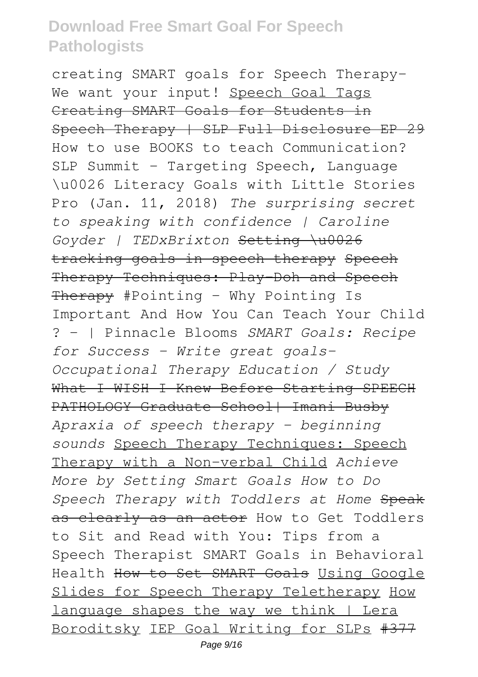creating SMART goals for Speech Therapy-We want your input! Speech Goal Tags Creating SMART Goals for Students in Speech Therapy | SLP Full Disclosure EP 29 How to use BOOKS to teach Communication? SLP Summit - Targeting Speech, Language \u0026 Literacy Goals with Little Stories Pro (Jan. 11, 2018) *The surprising secret to speaking with confidence | Caroline Goyder | TEDxBrixton* Setting \u0026 tracking goals in speech therapy Speech Therapy Techniques: Play-Doh and Speech Therapy #Pointing - Why Pointing Is Important And How You Can Teach Your Child ? - | Pinnacle Blooms *SMART Goals: Recipe for Success - Write great goals-Occupational Therapy Education / Study* What I WISH I Knew Before Starting SPEECH PATHOLOGY Graduate School| Imani Busby *Apraxia of speech therapy - beginning sounds* Speech Therapy Techniques: Speech Therapy with a Non-verbal Child *Achieve More by Setting Smart Goals How to Do Speech Therapy with Toddlers at Home* Speak as clearly as an actor How to Get Toddlers to Sit and Read with You: Tips from a Speech Therapist SMART Goals in Behavioral Health How to Set SMART Goals Using Google Slides for Speech Therapy Teletherapy How language shapes the way we think | Lera Boroditsky IEP Goal Writing for SLPs #377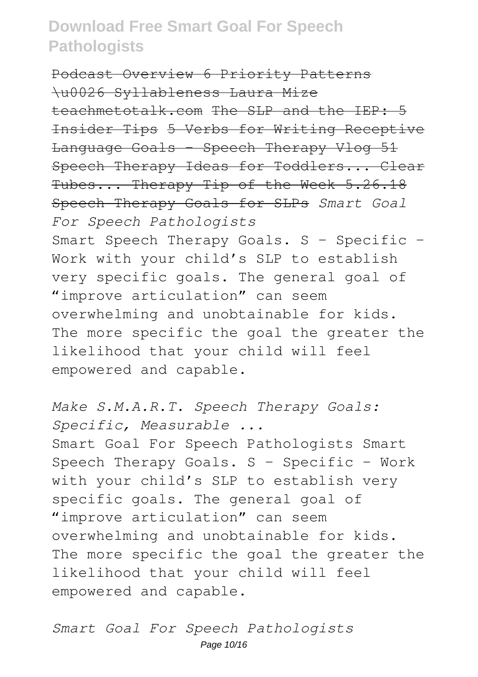Podcast Overview 6 Priority Patterns \u0026 Syllableness Laura Mize teachmetotalk.com The SLP and the IEP: 5 Insider Tips 5 Verbs for Writing Receptive Language Goals - Speech Therapy Vlog 51 Speech Therapy Ideas for Toddlers... Clear Tubes... Therapy Tip of the Week 5.26.18 Speech Therapy Goals for SLPs *Smart Goal For Speech Pathologists* Smart Speech Therapy Goals. S – Specific – Work with your child's SLP to establish very specific goals. The general goal of "improve articulation" can seem overwhelming and unobtainable for kids. The more specific the goal the greater the likelihood that your child will feel empowered and capable.

*Make S.M.A.R.T. Speech Therapy Goals: Specific, Measurable ...* Smart Goal For Speech Pathologists Smart Speech Therapy Goals. S – Specific – Work with your child's SLP to establish very specific goals. The general goal of "improve articulation" can seem overwhelming and unobtainable for kids. The more specific the goal the greater the likelihood that your child will feel empowered and capable.

*Smart Goal For Speech Pathologists* Page 10/16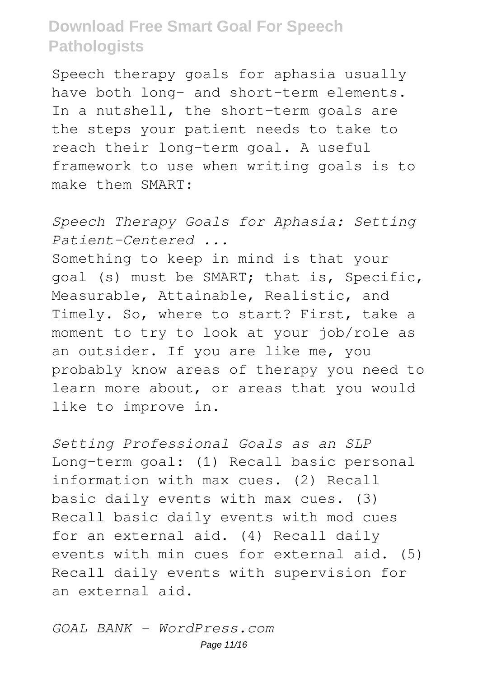Speech therapy goals for aphasia usually have both long- and short-term elements. In a nutshell, the short-term goals are the steps your patient needs to take to reach their long-term goal. A useful framework to use when writing goals is to make them SMART:

*Speech Therapy Goals for Aphasia: Setting Patient-Centered ...*

Something to keep in mind is that your goal (s) must be SMART; that is, Specific, Measurable, Attainable, Realistic, and Timely. So, where to start? First, take a moment to try to look at your job/role as an outsider. If you are like me, you probably know areas of therapy you need to learn more about, or areas that you would like to improve in.

*Setting Professional Goals as an SLP* Long-term goal: (1) Recall basic personal information with max cues. (2) Recall basic daily events with max cues. (3) Recall basic daily events with mod cues for an external aid. (4) Recall daily events with min cues for external aid. (5) Recall daily events with supervision for an external aid.

*GOAL BANK - WordPress.com* Page 11/16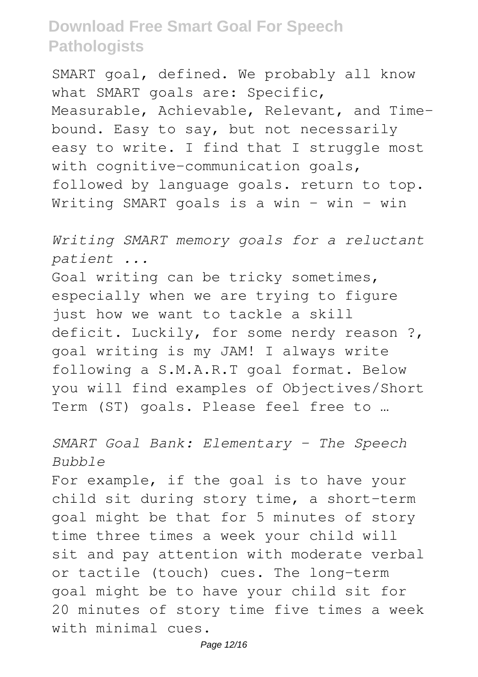SMART goal, defined. We probably all know what SMART goals are: Specific, Measurable, Achievable, Relevant, and Timebound. Easy to say, but not necessarily easy to write. I find that I struggle most with cognitive-communication goals, followed by language goals. return to top. Writing SMART goals is a win – win – win

*Writing SMART memory goals for a reluctant patient ...*

Goal writing can be tricky sometimes, especially when we are trying to figure just how we want to tackle a skill deficit. Luckily, for some nerdy reason ?, goal writing is my JAM! I always write following a S.M.A.R.T goal format. Below you will find examples of Objectives/Short Term (ST) goals. Please feel free to …

*SMART Goal Bank: Elementary - The Speech Bubble*

For example, if the goal is to have your child sit during story time, a short-term goal might be that for 5 minutes of story time three times a week your child will sit and pay attention with moderate verbal or tactile (touch) cues. The long-term goal might be to have your child sit for 20 minutes of story time five times a week with minimal cues.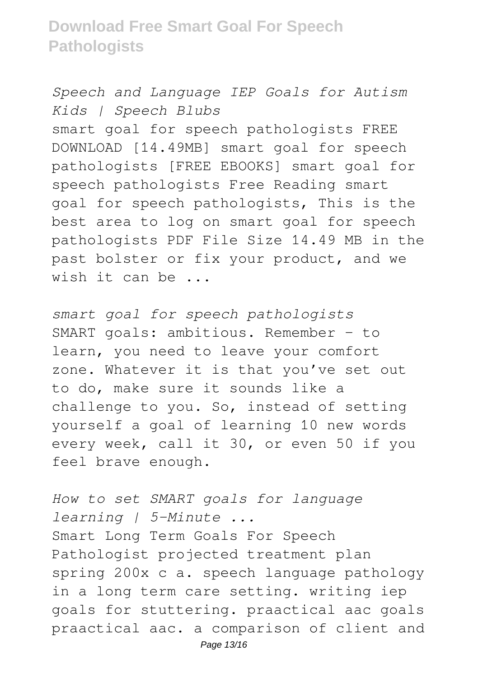*Speech and Language IEP Goals for Autism Kids | Speech Blubs*

smart goal for speech pathologists FREE DOWNLOAD [14.49MB] smart goal for speech pathologists [FREE EBOOKS] smart goal for speech pathologists Free Reading smart goal for speech pathologists, This is the best area to log on smart goal for speech pathologists PDF File Size 14.49 MB in the past bolster or fix your product, and we wish it can be ...

*smart goal for speech pathologists* SMART goals: ambitious. Remember – to learn, you need to leave your comfort zone. Whatever it is that you've set out to do, make sure it sounds like a challenge to you. So, instead of setting yourself a goal of learning 10 new words every week, call it 30, or even 50 if you feel brave enough.

*How to set SMART goals for language learning | 5-Minute ...* Smart Long Term Goals For Speech Pathologist projected treatment plan spring 200x c a. speech language pathology in a long term care setting. writing iep goals for stuttering. praactical aac goals praactical aac. a comparison of client and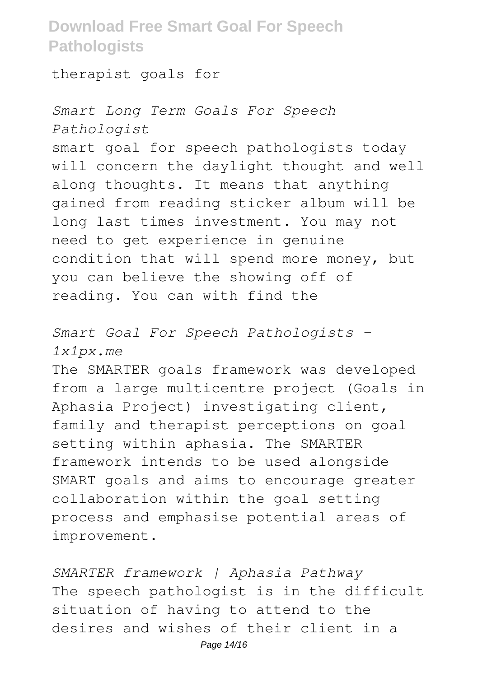therapist goals for

*Smart Long Term Goals For Speech Pathologist* smart goal for speech pathologists today will concern the daylight thought and well along thoughts. It means that anything gained from reading sticker album will be long last times investment. You may not need to get experience in genuine condition that will spend more money, but you can believe the showing off of reading. You can with find the

*Smart Goal For Speech Pathologists - 1x1px.me*

The SMARTER goals framework was developed from a large multicentre project (Goals in Aphasia Project) investigating client, family and therapist perceptions on goal setting within aphasia. The SMARTER framework intends to be used alongside SMART goals and aims to encourage greater collaboration within the goal setting process and emphasise potential areas of improvement.

*SMARTER framework | Aphasia Pathway* The speech pathologist is in the difficult situation of having to attend to the desires and wishes of their client in a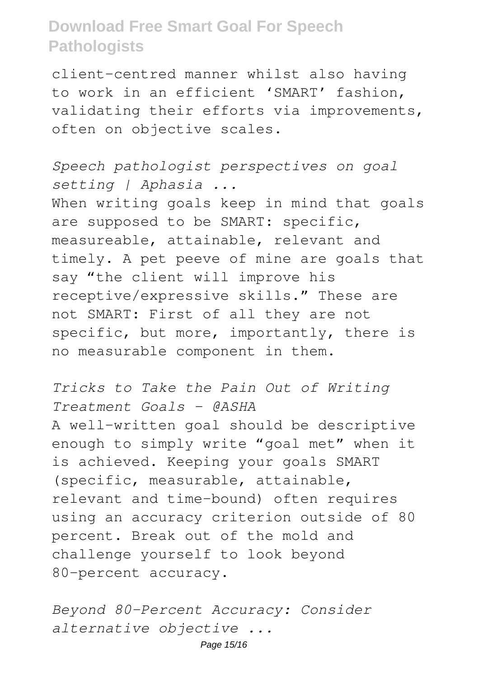client-centred manner whilst also having to work in an efficient 'SMART' fashion, validating their efforts via improvements, often on objective scales.

*Speech pathologist perspectives on goal setting | Aphasia ...* When writing goals keep in mind that goals are supposed to be SMART: specific, measureable, attainable, relevant and timely. A pet peeve of mine are goals that say "the client will improve his receptive/expressive skills." These are not SMART: First of all they are not specific, but more, importantly, there is no measurable component in them.

*Tricks to Take the Pain Out of Writing Treatment Goals - @ASHA* A well-written goal should be descriptive enough to simply write "goal met" when it is achieved. Keeping your goals SMART (specific, measurable, attainable, relevant and time-bound) often requires using an accuracy criterion outside of 80 percent. Break out of the mold and challenge yourself to look beyond 80-percent accuracy.

*Beyond 80-Percent Accuracy: Consider alternative objective ...*